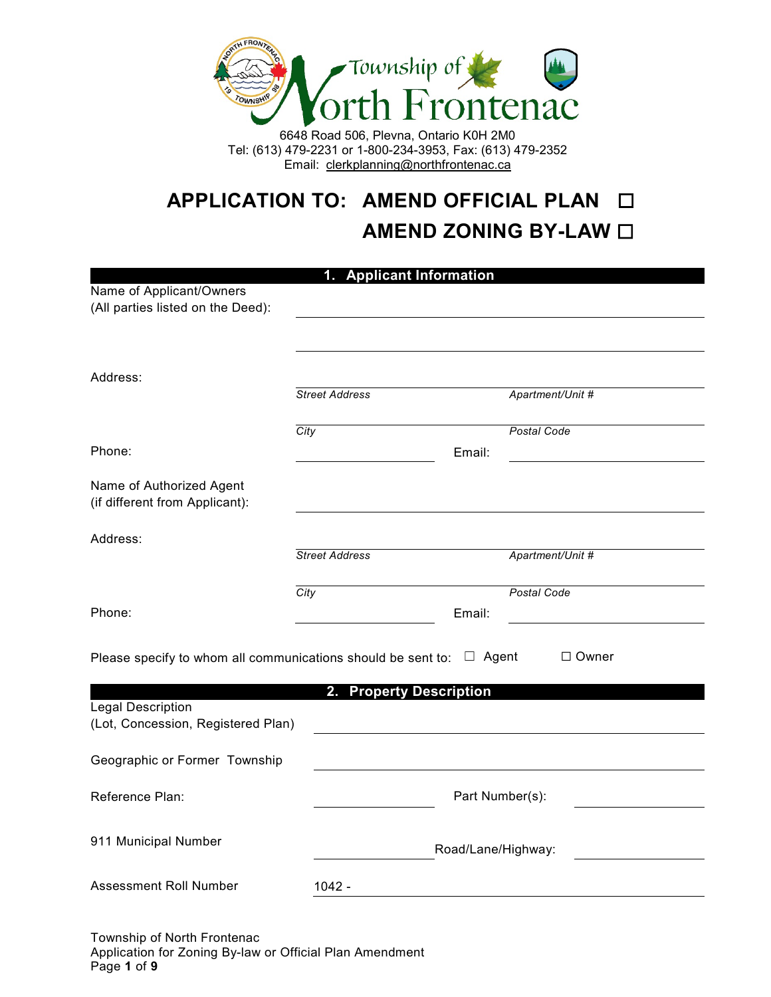

6648 Road 506, Plevna, Ontario K0H 2M0 Tel: (613) 479-2231 or 1-800-234-3953, Fax: (613) 479-2352 Email: clerkplanning@northfrontenac.ca

# **APPLICATION TO: AMEND OFFICIAL PLAN** ☐ **AMEND ZONING BY-LAW □**

|                                                                                                                                     | 1. Applicant Information                                                                             |                    |  |
|-------------------------------------------------------------------------------------------------------------------------------------|------------------------------------------------------------------------------------------------------|--------------------|--|
| Name of Applicant/Owners                                                                                                            |                                                                                                      |                    |  |
| (All parties listed on the Deed):                                                                                                   |                                                                                                      |                    |  |
|                                                                                                                                     |                                                                                                      |                    |  |
| Address:                                                                                                                            |                                                                                                      |                    |  |
|                                                                                                                                     | <b>Street Address</b>                                                                                | Apartment/Unit #   |  |
|                                                                                                                                     | City                                                                                                 | <b>Postal Code</b> |  |
| Phone:                                                                                                                              |                                                                                                      | Email:             |  |
| Name of Authorized Agent<br>(if different from Applicant):                                                                          |                                                                                                      |                    |  |
| Address:                                                                                                                            |                                                                                                      |                    |  |
|                                                                                                                                     | <b>Street Address</b>                                                                                | Apartment/Unit #   |  |
|                                                                                                                                     |                                                                                                      |                    |  |
|                                                                                                                                     | City                                                                                                 | Postal Code        |  |
| Phone:                                                                                                                              |                                                                                                      | Email:             |  |
|                                                                                                                                     | Please specify to whom all communications should be sent to: $\Box$ Agent<br>2. Property Description | $\Box$ Owner       |  |
|                                                                                                                                     |                                                                                                      |                    |  |
|                                                                                                                                     |                                                                                                      | Part Number(s):    |  |
| Legal Description<br>(Lot, Concession, Registered Plan)<br>Geographic or Former Township<br>Reference Plan:<br>911 Municipal Number |                                                                                                      | Road/Lane/Highway: |  |

Township of North Frontenac Application for Zoning By-law or Official Plan Amendment Page **1** of **9**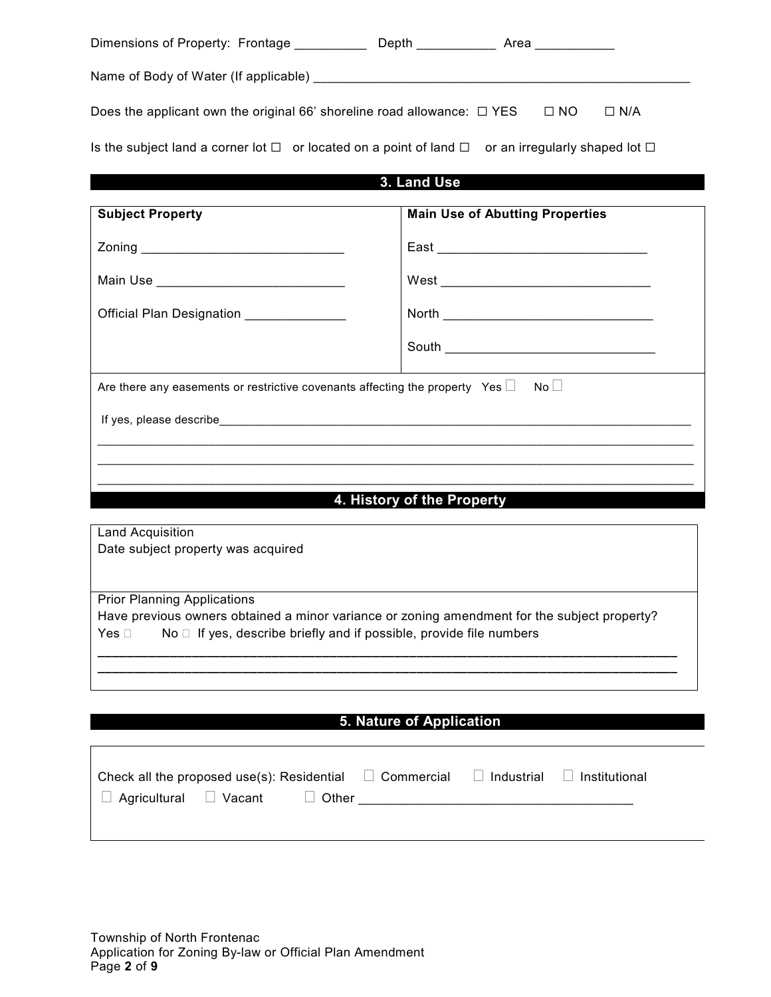| Dimensions of Property: Frontage _______________ Depth ______________ Area ____________                          |                                        |
|------------------------------------------------------------------------------------------------------------------|----------------------------------------|
|                                                                                                                  |                                        |
| Does the applicant own the original 66' shoreline road allowance: $\Box$ YES $\Box$ NO                           | $\Box$ N/A                             |
| Is the subject land a corner lot $\Box$ or located on a point of land $\Box$ or an irregularly shaped lot $\Box$ |                                        |
|                                                                                                                  | 3. Land Use                            |
| <b>Subject Property</b>                                                                                          | <b>Main Use of Abutting Properties</b> |
|                                                                                                                  |                                        |
| Main Use ________________________________                                                                        |                                        |
| Official Plan Designation ______________                                                                         |                                        |
|                                                                                                                  |                                        |
| Are there any easements or restrictive covenants affecting the property Yes $\square$                            | $\mathsf{No} \sqcup$                   |
|                                                                                                                  |                                        |
|                                                                                                                  |                                        |
|                                                                                                                  |                                        |
|                                                                                                                  | 4. History of the Property             |

Land Acquisition Date subject property was acquired

Prior Planning Applications

Have previous owners obtained a minor variance or zoning amendment for the subject property? Yes  $\Box$  No  $\Box$  If yes, describe briefly and if possible, provide file numbers

**\_\_\_\_\_\_\_\_\_\_\_\_\_\_\_\_\_\_\_\_\_\_\_\_\_\_\_\_\_\_\_\_\_\_\_\_\_\_\_\_\_\_\_\_\_\_\_\_\_\_\_\_\_\_\_\_\_\_\_\_\_\_\_\_\_\_\_\_\_\_\_\_\_\_\_\_\_\_\_\_ \_\_\_\_\_\_\_\_\_\_\_\_\_\_\_\_\_\_\_\_\_\_\_\_\_\_\_\_\_\_\_\_\_\_\_\_\_\_\_\_\_\_\_\_\_\_\_\_\_\_\_\_\_\_\_\_\_\_\_\_\_\_\_\_\_\_\_\_\_\_\_\_\_\_\_\_\_\_\_\_**

# **5. Nature of Application**

|                                   |  | Check all the proposed use(s): Residential $\Box$ Commercial $\Box$ Industrial $\Box$ Institutional |  |
|-----------------------------------|--|-----------------------------------------------------------------------------------------------------|--|
| $\Box$ Agricultural $\Box$ Vacant |  |                                                                                                     |  |
|                                   |  |                                                                                                     |  |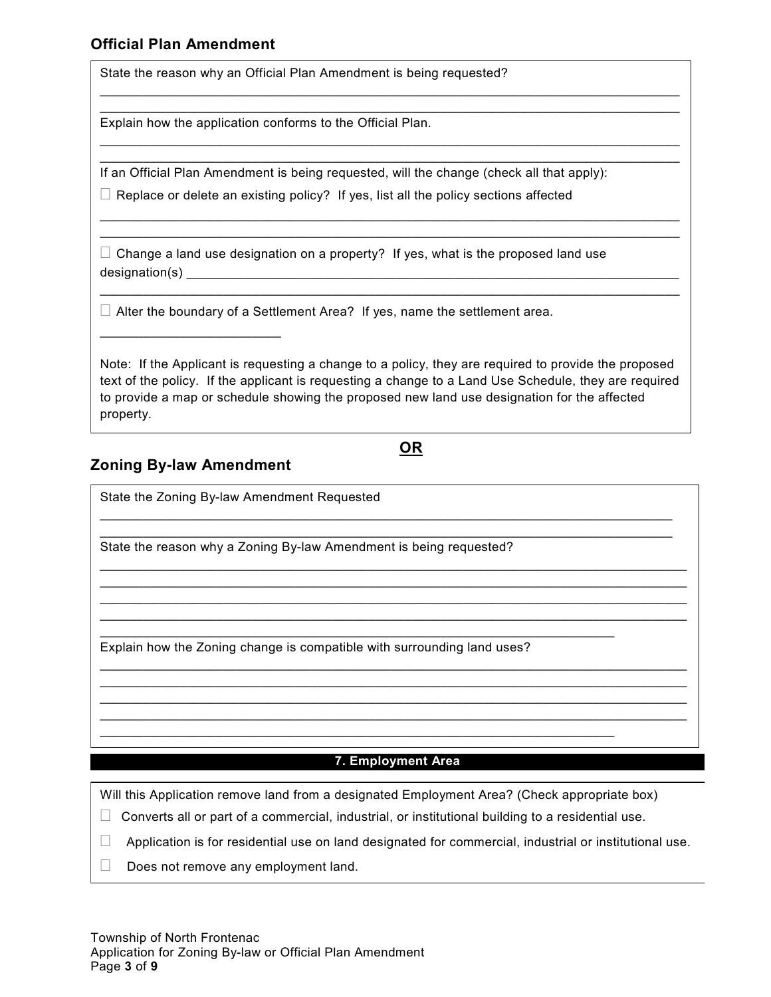# **Official Plan Amendment**

State the reason why an Official Plan Amendment is being requested?

Explain how the application conforms to the Official Plan.

If an Official Plan Amendment is being requested, will the change (check all that apply):

\_\_\_\_\_\_\_\_\_\_\_\_\_\_\_\_\_\_\_\_\_\_\_\_\_\_\_\_\_\_\_\_\_\_\_\_\_\_\_\_\_\_\_\_\_\_\_\_\_\_\_\_\_\_\_\_\_\_\_\_\_\_\_\_\_\_\_\_\_\_\_\_\_\_\_\_\_\_\_\_  $\mathcal{L}_\text{max}$  , and the set of the set of the set of the set of the set of the set of the set of the set of the set of the set of the set of the set of the set of the set of the set of the set of the set of the set of the

\_\_\_\_\_\_\_\_\_\_\_\_\_\_\_\_\_\_\_\_\_\_\_\_\_\_\_\_\_\_\_\_\_\_\_\_\_\_\_\_\_\_\_\_\_\_\_\_\_\_\_\_\_\_\_\_\_\_\_\_\_\_\_\_\_\_\_\_\_\_\_\_\_\_\_\_\_\_\_\_ \_\_\_\_\_\_\_\_\_\_\_\_\_\_\_\_\_\_\_\_\_\_\_\_\_\_\_\_\_\_\_\_\_\_\_\_\_\_\_\_\_\_\_\_\_\_\_\_\_\_\_\_\_\_\_\_\_\_\_\_\_\_\_\_\_\_\_\_\_\_\_\_\_\_\_\_\_\_\_\_

\_\_\_\_\_\_\_\_\_\_\_\_\_\_\_\_\_\_\_\_\_\_\_\_\_\_\_\_\_\_\_\_\_\_\_\_\_\_\_\_\_\_\_\_\_\_\_\_\_\_\_\_\_\_\_\_\_\_\_\_\_\_\_\_\_\_\_\_\_\_\_\_\_\_\_\_\_\_\_\_ \_\_\_\_\_\_\_\_\_\_\_\_\_\_\_\_\_\_\_\_\_\_\_\_\_\_\_\_\_\_\_\_\_\_\_\_\_\_\_\_\_\_\_\_\_\_\_\_\_\_\_\_\_\_\_\_\_\_\_\_\_\_\_\_\_\_\_\_\_\_\_\_\_\_\_\_\_\_\_\_

\_\_\_\_\_\_\_\_\_\_\_\_\_\_\_\_\_\_\_\_\_\_\_\_\_\_\_\_\_\_\_\_\_\_\_\_\_\_\_\_\_\_\_\_\_\_\_\_\_\_\_\_\_\_\_\_\_\_\_\_\_\_\_\_\_\_\_\_\_\_\_\_\_\_\_\_\_\_\_\_

 $\Box$  Replace or delete an existing policy? If yes, list all the policy sections affected

 $\Box$  Change a land use designation on a property? If yes, what is the proposed land use designation(s) \_\_\_\_\_\_\_\_\_\_\_\_\_\_\_\_\_\_\_\_\_\_\_\_\_\_\_\_\_\_\_\_\_\_\_\_\_\_\_\_\_\_\_\_\_\_\_\_\_\_\_\_\_\_\_\_\_\_\_\_\_\_\_\_\_\_\_\_

 $\Box$  Alter the boundary of a Settlement Area? If yes, name the settlement area.

Note: If the Applicant is requesting a change to a policy, they are required to provide the proposed text of the policy. If the applicant is requesting a change to a Land Use Schedule, they are required to provide a map or schedule showing the proposed new land use designation for the affected property.

\_\_\_\_\_\_\_\_\_\_\_\_\_\_\_\_\_\_\_\_\_\_\_\_\_\_\_\_\_\_\_\_\_\_\_\_\_\_\_\_\_\_\_\_\_\_\_\_\_\_\_\_\_\_\_\_\_\_\_\_\_\_\_\_\_\_\_\_\_\_\_\_\_\_\_\_\_\_\_ \_\_\_\_\_\_\_\_\_\_\_\_\_\_\_\_\_\_\_\_\_\_\_\_\_\_\_\_\_\_\_\_\_\_\_\_\_\_\_\_\_\_\_\_\_\_\_\_\_\_\_\_\_\_\_\_\_\_\_\_\_\_\_\_\_\_\_\_\_\_\_\_\_\_\_\_\_\_\_

\_\_\_\_\_\_\_\_\_\_\_\_\_\_\_\_\_\_\_\_\_\_\_\_\_\_\_\_\_\_\_\_\_\_\_\_\_\_\_\_\_\_\_\_\_\_\_\_\_\_\_\_\_\_\_\_\_\_\_\_\_\_\_\_\_\_\_\_\_\_\_\_\_\_\_\_\_\_\_\_\_ \_\_\_\_\_\_\_\_\_\_\_\_\_\_\_\_\_\_\_\_\_\_\_\_\_\_\_\_\_\_\_\_\_\_\_\_\_\_\_\_\_\_\_\_\_\_\_\_\_\_\_\_\_\_\_\_\_\_\_\_\_\_\_\_\_\_\_\_\_\_\_\_\_\_\_\_\_\_\_\_\_  $\mathcal{L}_\text{max}$  , and the contribution of the contribution of the contribution of the contribution of the contribution of the contribution of the contribution of the contribution of the contribution of the contribution of t \_\_\_\_\_\_\_\_\_\_\_\_\_\_\_\_\_\_\_\_\_\_\_\_\_\_\_\_\_\_\_\_\_\_\_\_\_\_\_\_\_\_\_\_\_\_\_\_\_\_\_\_\_\_\_\_\_\_\_\_\_\_\_\_\_\_\_\_\_\_\_\_\_\_\_\_\_\_\_\_\_

 $\mathcal{L}_\text{max}$  , and the contribution of the contribution of the contribution of the contribution of the contribution of the contribution of the contribution of the contribution of the contribution of the contribution of t \_\_\_\_\_\_\_\_\_\_\_\_\_\_\_\_\_\_\_\_\_\_\_\_\_\_\_\_\_\_\_\_\_\_\_\_\_\_\_\_\_\_\_\_\_\_\_\_\_\_\_\_\_\_\_\_\_\_\_\_\_\_\_\_\_\_\_\_\_\_\_\_\_\_\_\_\_\_\_\_\_ \_\_\_\_\_\_\_\_\_\_\_\_\_\_\_\_\_\_\_\_\_\_\_\_\_\_\_\_\_\_\_\_\_\_\_\_\_\_\_\_\_\_\_\_\_\_\_\_\_\_\_\_\_\_\_\_\_\_\_\_\_\_\_\_\_\_\_\_\_\_\_\_\_\_\_\_\_\_\_\_\_ \_\_\_\_\_\_\_\_\_\_\_\_\_\_\_\_\_\_\_\_\_\_\_\_\_\_\_\_\_\_\_\_\_\_\_\_\_\_\_\_\_\_\_\_\_\_\_\_\_\_\_\_\_\_\_\_\_\_\_\_\_\_\_\_\_\_\_\_\_\_\_\_\_\_\_\_\_\_\_\_\_

#### **OR**

#### **Zoning By-law Amendment**

\_\_\_\_\_\_\_\_\_\_\_\_\_\_\_\_\_\_\_\_\_\_\_\_\_

State the Zoning By-law Amendment Requested

State the reason why a Zoning By-law Amendment is being requested?

Explain how the Zoning change is compatible with surrounding land uses?

\_\_\_\_\_\_\_\_\_\_\_\_\_\_\_\_\_\_\_\_\_\_\_\_\_\_\_\_\_\_\_\_\_\_\_\_\_\_\_\_\_\_\_\_\_\_\_\_\_\_\_\_\_\_\_\_\_\_\_\_\_\_\_\_\_\_\_\_\_\_\_

\_\_\_\_\_\_\_\_\_\_\_\_\_\_\_\_\_\_\_\_\_\_\_\_\_\_\_\_\_\_\_\_\_\_\_\_\_\_\_\_\_\_\_\_\_\_\_\_\_\_\_\_\_\_\_\_\_\_\_\_\_\_\_\_\_\_\_\_\_\_\_

#### **7. Employment Area**

Will this Application remove land from a designated Employment Area? (Check appropriate box)

 $\Box$  Converts all or part of a commercial, industrial, or institutional building to a residential use.

 $\Box$  Application is for residential use on land designated for commercial, industrial or institutional use.

 $\Box$  Does not remove any employment land.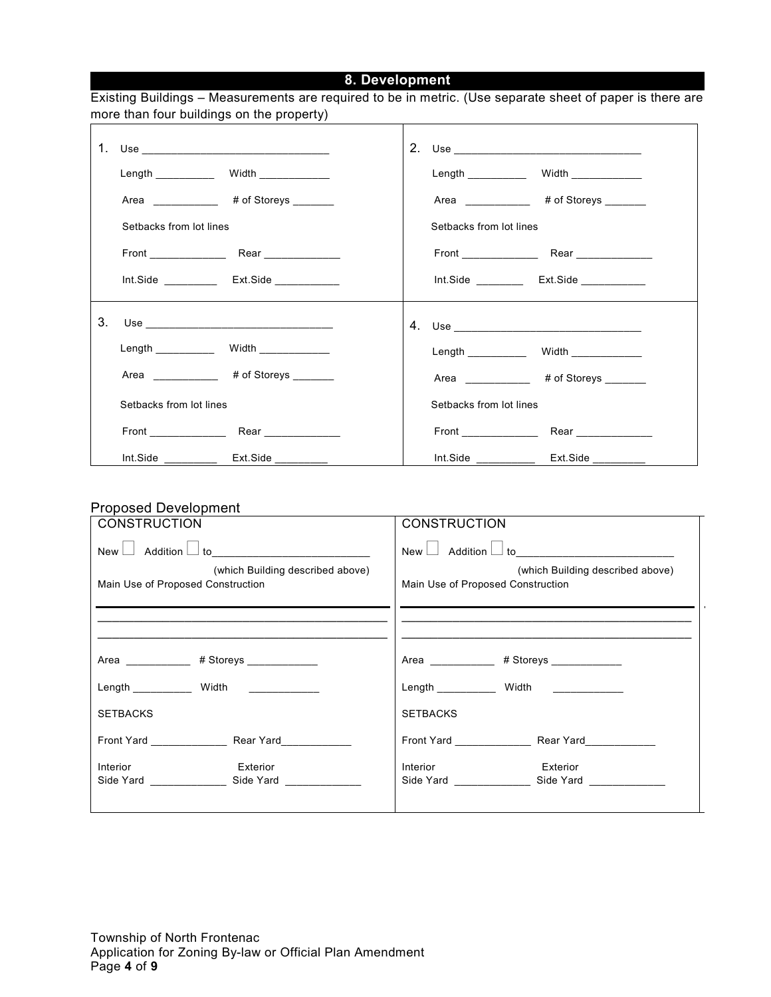# **8. Development**

|    | more than four buildings on the property)   |                                               |
|----|---------------------------------------------|-----------------------------------------------|
|    | 1. Use _______________________________      |                                               |
|    |                                             |                                               |
|    | Area ____________ # of Storeys ______       | Area _____________ # of Storeys _______       |
|    | Setbacks from lot lines                     | Setbacks from lot lines                       |
|    |                                             |                                               |
|    |                                             | Int.Side ____________ Ext.Side ___________    |
| 3. |                                             |                                               |
|    |                                             |                                               |
|    | Area ____________ # of Storeys _______      | Area ____________ # of Storeys _______        |
|    | Setbacks from lot lines                     | Setbacks from lot lines                       |
|    |                                             |                                               |
|    | Int.Side ______________ Ext.Side __________ | Int.Side ________________ Ext.Side __________ |

#### Proposed Development

| <b>CONSTRUCTION</b>                                                   | <b>CONSTRUCTION</b>                                                   |
|-----------------------------------------------------------------------|-----------------------------------------------------------------------|
|                                                                       |                                                                       |
| (which Building described above)<br>Main Use of Proposed Construction | (which Building described above)<br>Main Use of Proposed Construction |
|                                                                       |                                                                       |
| Area _____________ # Storeys _____________                            | Area _____________ # Storeys _____________                            |
| Length ______________ Width _____________                             | Length ____________ Width ____________                                |
| <b>SETBACKS</b>                                                       | <b>SETBACKS</b>                                                       |
| Front Yard <b>National Contract Contract Pront Yard</b> Rear Yard     |                                                                       |
| Interior<br>Exterior                                                  | Interior<br>Exterior                                                  |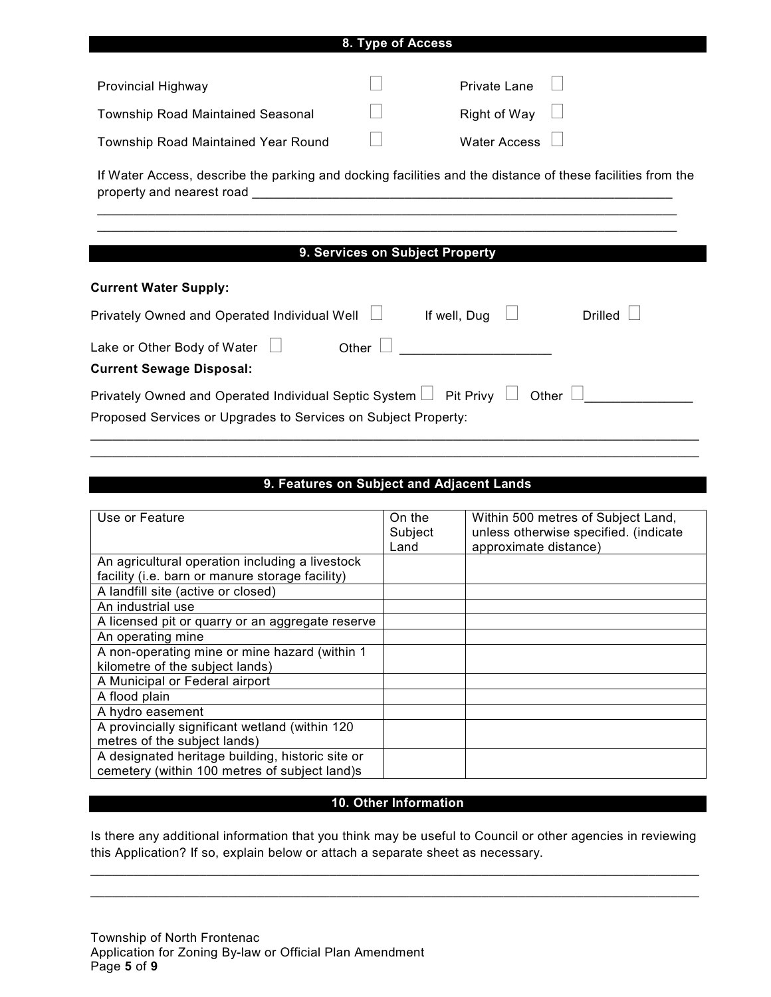| 8. Type of Access                                                             |                                                                                                            |  |  |  |
|-------------------------------------------------------------------------------|------------------------------------------------------------------------------------------------------------|--|--|--|
|                                                                               |                                                                                                            |  |  |  |
| Provincial Highway                                                            | <b>Private Lane</b>                                                                                        |  |  |  |
| <b>Township Road Maintained Seasonal</b>                                      | Right of Way                                                                                               |  |  |  |
| <b>Township Road Maintained Year Round</b>                                    | <b>Water Access</b>                                                                                        |  |  |  |
|                                                                               | If Water Access, describe the parking and docking facilities and the distance of these facilities from the |  |  |  |
|                                                                               |                                                                                                            |  |  |  |
|                                                                               | 9. Services on Subject Property                                                                            |  |  |  |
| <b>Current Water Supply:</b>                                                  |                                                                                                            |  |  |  |
| Privately Owned and Operated Individual Well □                                | <b>Drilled</b><br>If well, Dug                                                                             |  |  |  |
| Lake or Other Body of Water $\Box$                                            | Other<br><u> 1980 - Jan Barbarat, manala</u>                                                               |  |  |  |
| <b>Current Sewage Disposal:</b>                                               |                                                                                                            |  |  |  |
| Privately Owned and Operated Individual Septic System $\Box$ Pit Privy $\Box$ | Other                                                                                                      |  |  |  |
| Proposed Services or Upgrades to Services on Subject Property:                |                                                                                                            |  |  |  |

# **9. Features on Subject and Adjacent Lands**

\_\_\_\_\_\_\_\_\_\_\_\_\_\_\_\_\_\_\_\_\_\_\_\_\_\_\_\_\_\_\_\_\_\_\_\_\_\_\_\_\_\_\_\_\_\_\_\_\_\_\_\_\_\_\_\_\_\_\_\_\_\_\_\_\_\_\_\_\_\_\_\_\_\_\_\_\_\_\_\_\_\_\_\_

| Use or Feature                                                                                    | On the<br>Subject<br>Land | Within 500 metres of Subject Land,<br>unless otherwise specified. (indicate<br>approximate distance) |
|---------------------------------------------------------------------------------------------------|---------------------------|------------------------------------------------------------------------------------------------------|
| An agricultural operation including a livestock                                                   |                           |                                                                                                      |
| facility (i.e. barn or manure storage facility)                                                   |                           |                                                                                                      |
| A landfill site (active or closed)                                                                |                           |                                                                                                      |
| An industrial use                                                                                 |                           |                                                                                                      |
| A licensed pit or quarry or an aggregate reserve                                                  |                           |                                                                                                      |
| An operating mine                                                                                 |                           |                                                                                                      |
| A non-operating mine or mine hazard (within 1<br>kilometre of the subject lands)                  |                           |                                                                                                      |
| A Municipal or Federal airport                                                                    |                           |                                                                                                      |
| A flood plain                                                                                     |                           |                                                                                                      |
| A hydro easement                                                                                  |                           |                                                                                                      |
| A provincially significant wetland (within 120                                                    |                           |                                                                                                      |
| metres of the subject lands)                                                                      |                           |                                                                                                      |
| A designated heritage building, historic site or<br>cemetery (within 100 metres of subject land)s |                           |                                                                                                      |

#### **10. Other Information**

Is there any additional information that you think may be useful to Council or other agencies in reviewing this Application? If so, explain below or attach a separate sheet as necessary.

 $\_$  , and the set of the set of the set of the set of the set of the set of the set of the set of the set of the set of the set of the set of the set of the set of the set of the set of the set of the set of the set of th \_\_\_\_\_\_\_\_\_\_\_\_\_\_\_\_\_\_\_\_\_\_\_\_\_\_\_\_\_\_\_\_\_\_\_\_\_\_\_\_\_\_\_\_\_\_\_\_\_\_\_\_\_\_\_\_\_\_\_\_\_\_\_\_\_\_\_\_\_\_\_\_\_\_\_\_\_\_\_\_\_\_\_\_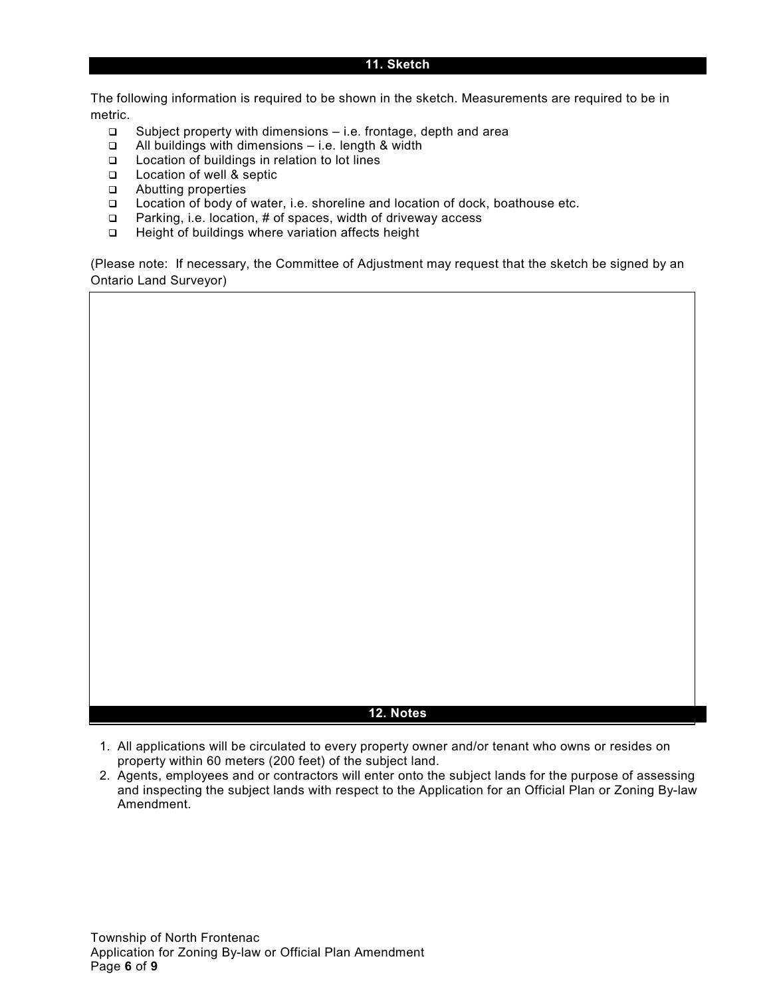#### **11. Sketch**

The following information is required to be shown in the sketch. Measurements are required to be in metric.

- Subject property with dimensions i.e. frontage, depth and area
- All buildings with dimensions i.e. length & width
- Location of buildings in relation to lot lines
- □ Location of well & septic
- Abutting properties
- Location of body of water, i.e. shoreline and location of dock, boathouse etc.
- $\Box$  Parking, i.e. location, # of spaces, width of driveway access
- □ Height of buildings where variation affects height

(Please note: If necessary, the Committee of Adjustment may request that the sketch be signed by an Ontario Land Surveyor)

#### **12. Notes**

- 1. All applications will be circulated to every property owner and/or tenant who owns or resides on property within 60 meters (200 feet) of the subject land.
- 2. Agents, employees and or contractors will enter onto the subject lands for the purpose of assessing and inspecting the subject lands with respect to the Application for an Official Plan or Zoning By-law Amendment.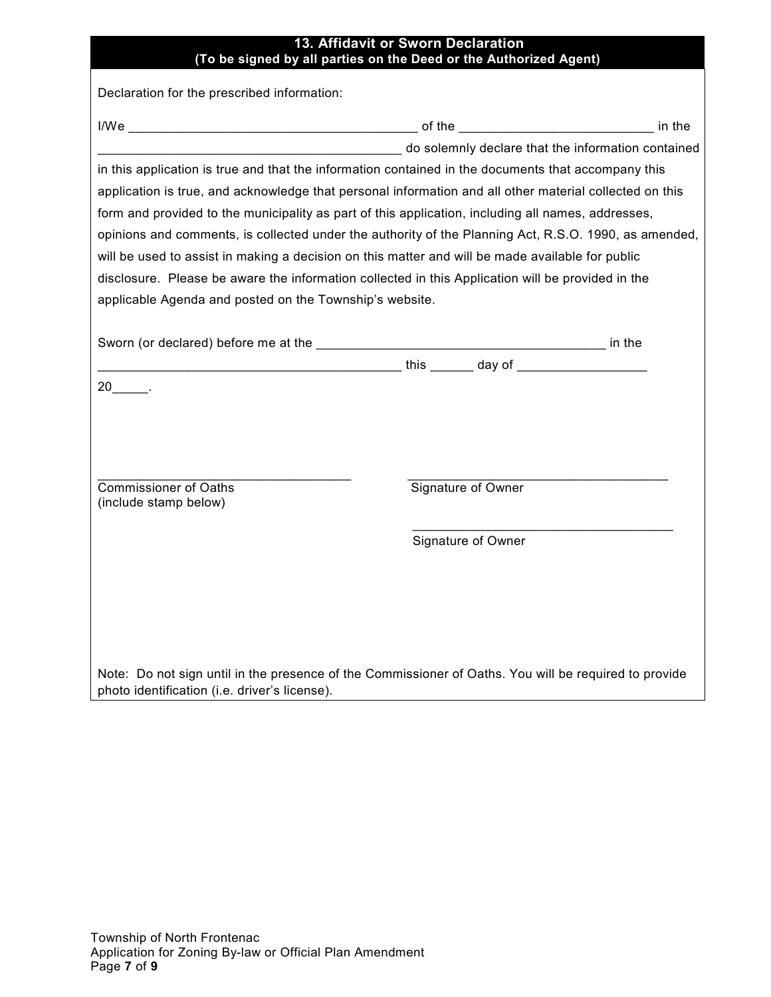| 13. Affidavit or Sworn Declaration<br>(To be signed by all parties on the Deed or the Authorized Agent)                                                                                                                                                                                                                                                                                                                                                                                                                                                                                                                                                                                                                                                 |                    |  |
|---------------------------------------------------------------------------------------------------------------------------------------------------------------------------------------------------------------------------------------------------------------------------------------------------------------------------------------------------------------------------------------------------------------------------------------------------------------------------------------------------------------------------------------------------------------------------------------------------------------------------------------------------------------------------------------------------------------------------------------------------------|--------------------|--|
| Declaration for the prescribed information:                                                                                                                                                                                                                                                                                                                                                                                                                                                                                                                                                                                                                                                                                                             |                    |  |
|                                                                                                                                                                                                                                                                                                                                                                                                                                                                                                                                                                                                                                                                                                                                                         |                    |  |
| do solemnly declare that the information contained<br>in this application is true and that the information contained in the documents that accompany this<br>application is true, and acknowledge that personal information and all other material collected on this<br>form and provided to the municipality as part of this application, including all names, addresses,<br>opinions and comments, is collected under the authority of the Planning Act, R.S.O. 1990, as amended,<br>will be used to assist in making a decision on this matter and will be made available for public<br>disclosure. Please be aware the information collected in this Application will be provided in the<br>applicable Agenda and posted on the Township's website. |                    |  |
| <u>this day of the contract of the contract of the contract of the contract of the contract of the contract of the con</u>                                                                                                                                                                                                                                                                                                                                                                                                                                                                                                                                                                                                                              |                    |  |
| $20$ .                                                                                                                                                                                                                                                                                                                                                                                                                                                                                                                                                                                                                                                                                                                                                  |                    |  |
| <b>Commissioner of Oaths</b><br>(include stamp below)                                                                                                                                                                                                                                                                                                                                                                                                                                                                                                                                                                                                                                                                                                   | Signature of Owner |  |
|                                                                                                                                                                                                                                                                                                                                                                                                                                                                                                                                                                                                                                                                                                                                                         | Signature of Owner |  |
|                                                                                                                                                                                                                                                                                                                                                                                                                                                                                                                                                                                                                                                                                                                                                         |                    |  |
|                                                                                                                                                                                                                                                                                                                                                                                                                                                                                                                                                                                                                                                                                                                                                         |                    |  |
|                                                                                                                                                                                                                                                                                                                                                                                                                                                                                                                                                                                                                                                                                                                                                         |                    |  |

Note: Do not sign until in the presence of the Commissioner of Oaths. You will be required to provide photo identification (i.e. driver's license).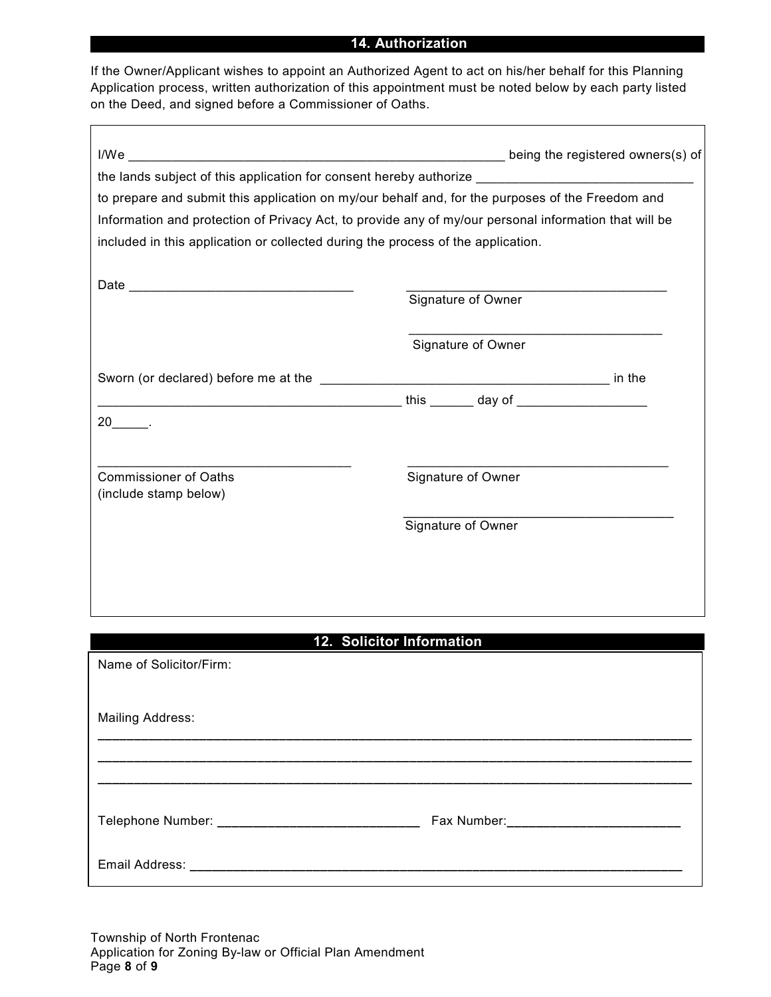#### **14. Authorization**

If the Owner/Applicant wishes to appoint an Authorized Agent to act on his/her behalf for this Planning Application process, written authorization of this appointment must be noted below by each party listed on the Deed, and signed before a Commissioner of Oaths.

|                                                                                                       | the lands subject of this application for consent hereby authorize ________________________________ |
|-------------------------------------------------------------------------------------------------------|-----------------------------------------------------------------------------------------------------|
| to prepare and submit this application on my/our behalf and, for the purposes of the Freedom and      |                                                                                                     |
| Information and protection of Privacy Act, to provide any of my/our personal information that will be |                                                                                                     |
| included in this application or collected during the process of the application.                      |                                                                                                     |
|                                                                                                       |                                                                                                     |
|                                                                                                       |                                                                                                     |
|                                                                                                       | Signature of Owner                                                                                  |
|                                                                                                       |                                                                                                     |
|                                                                                                       | Signature of Owner                                                                                  |
|                                                                                                       |                                                                                                     |
|                                                                                                       |                                                                                                     |
|                                                                                                       |                                                                                                     |
|                                                                                                       |                                                                                                     |
|                                                                                                       |                                                                                                     |
| <b>Commissioner of Oaths</b>                                                                          | Signature of Owner                                                                                  |
| (include stamp below)                                                                                 |                                                                                                     |
|                                                                                                       | Signature of Owner                                                                                  |
|                                                                                                       |                                                                                                     |
|                                                                                                       |                                                                                                     |
|                                                                                                       |                                                                                                     |
|                                                                                                       |                                                                                                     |
|                                                                                                       | 12. Solicitor Information                                                                           |
|                                                                                                       |                                                                                                     |
| Name of Solicitor/Firm:                                                                               |                                                                                                     |
|                                                                                                       |                                                                                                     |
| <b>Mailing Address:</b>                                                                               |                                                                                                     |
|                                                                                                       |                                                                                                     |
|                                                                                                       |                                                                                                     |
|                                                                                                       |                                                                                                     |
|                                                                                                       |                                                                                                     |
|                                                                                                       |                                                                                                     |
|                                                                                                       |                                                                                                     |
|                                                                                                       |                                                                                                     |